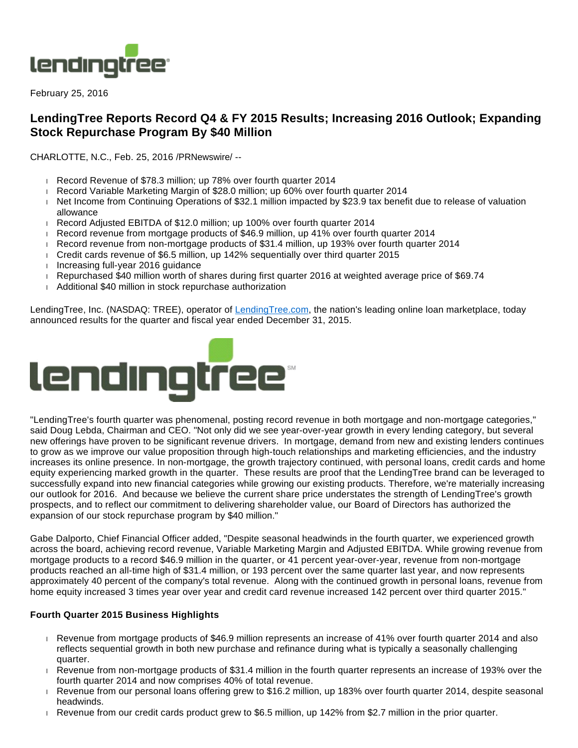

February 25, 2016

# **LendingTree Reports Record Q4 & FY 2015 Results; Increasing 2016 Outlook; Expanding Stock Repurchase Program By \$40 Million**

CHARLOTTE, N.C., Feb. 25, 2016 /PRNewswire/ --

- Record Revenue of \$78.3 million; up 78% over fourth quarter 2014
- Record Variable Marketing Margin of \$28.0 million; up 60% over fourth quarter 2014
- Net Income from Continuing Operations of \$32.1 million impacted by \$23.9 tax benefit due to release of valuation allowance
- Record Adjusted EBITDA of \$12.0 million; up 100% over fourth quarter 2014
- Record revenue from mortgage products of \$46.9 million, up 41% over fourth quarter 2014
- Record revenue from non-mortgage products of \$31.4 million, up 193% over fourth quarter 2014
- Credit cards revenue of \$6.5 million, up 142% sequentially over third quarter 2015
- Increasing full-year 2016 guidance
- Repurchased \$40 million worth of shares during first quarter 2016 at weighted average price of \$69.74
- Additional \$40 million in stock repurchase authorization

LendingTree, Inc. (NASDAQ: TREE), operator of [LendingTree.com](http://lendingtree.com/), the nation's leading online loan marketplace, today announced results for the quarter and fiscal year ended December 31, 2015.



"LendingTree's fourth quarter was phenomenal, posting record revenue in both mortgage and non-mortgage categories," said Doug Lebda, Chairman and CEO. "Not only did we see year-over-year growth in every lending category, but several new offerings have proven to be significant revenue drivers. In mortgage, demand from new and existing lenders continues to grow as we improve our value proposition through high-touch relationships and marketing efficiencies, and the industry increases its online presence. In non-mortgage, the growth trajectory continued, with personal loans, credit cards and home equity experiencing marked growth in the quarter. These results are proof that the LendingTree brand can be leveraged to successfully expand into new financial categories while growing our existing products. Therefore, we're materially increasing our outlook for 2016. And because we believe the current share price understates the strength of LendingTree's growth prospects, and to reflect our commitment to delivering shareholder value, our Board of Directors has authorized the expansion of our stock repurchase program by \$40 million."

Gabe Dalporto, Chief Financial Officer added, "Despite seasonal headwinds in the fourth quarter, we experienced growth across the board, achieving record revenue, Variable Marketing Margin and Adjusted EBITDA. While growing revenue from mortgage products to a record \$46.9 million in the quarter, or 41 percent year-over-year, revenue from non-mortgage products reached an all-time high of \$31.4 million, or 193 percent over the same quarter last year, and now represents approximately 40 percent of the company's total revenue. Along with the continued growth in personal loans, revenue from home equity increased 3 times year over year and credit card revenue increased 142 percent over third quarter 2015."

## **Fourth Quarter 2015 Business Highlights**

- Revenue from mortgage products of \$46.9 million represents an increase of 41% over fourth quarter 2014 and also reflects sequential growth in both new purchase and refinance during what is typically a seasonally challenging quarter.
- Revenue from non-mortgage products of \$31.4 million in the fourth quarter represents an increase of 193% over the fourth quarter 2014 and now comprises 40% of total revenue.
- Revenue from our personal loans offering grew to \$16.2 million, up 183% over fourth quarter 2014, despite seasonal headwinds.
- Revenue from our credit cards product grew to \$6.5 million, up 142% from \$2.7 million in the prior quarter.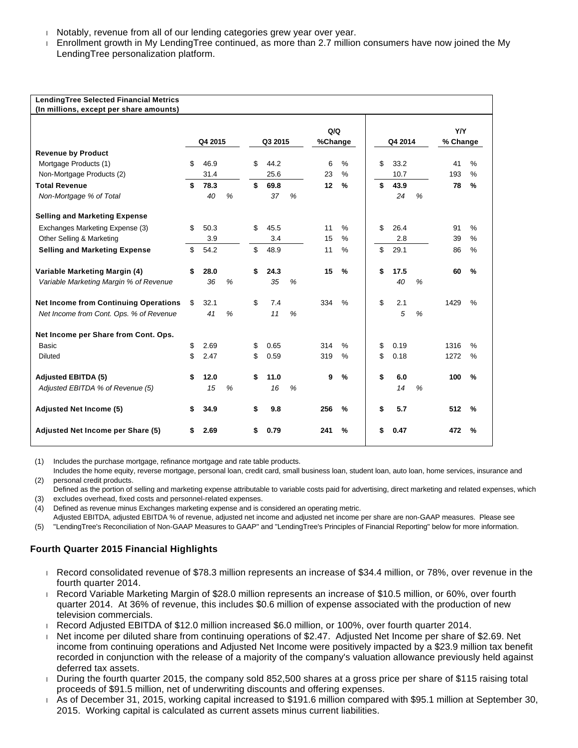- Notably, revenue from all of our lending categories grew year over year.
- Enrollment growth in My LendingTree continued, as more than 2.7 million consumers have now joined the My LendingTree personalization platform.

| LendingTree Selected Financial Metrics<br>(In millions, except per share amounts) |         |      |   |         |      |   |                |               |         |      |   |                |               |
|-----------------------------------------------------------------------------------|---------|------|---|---------|------|---|----------------|---------------|---------|------|---|----------------|---------------|
|                                                                                   | Q4 2015 |      |   | Q3 2015 |      |   | Q/Q<br>%Change |               | Q4 2014 |      |   | YN<br>% Change |               |
| <b>Revenue by Product</b>                                                         |         |      |   |         |      |   |                |               |         |      |   |                |               |
| Mortgage Products (1)                                                             | \$      | 46.9 |   | \$      | 44.2 |   | 6              | $\%$          | \$      | 33.2 |   | 41             | $\frac{0}{0}$ |
| Non-Mortgage Products (2)                                                         |         | 31.4 |   |         | 25.6 |   | 23             | $\frac{0}{0}$ |         | 10.7 |   | 193            | %             |
| <b>Total Revenue</b>                                                              | \$      | 78.3 |   | \$      | 69.8 |   | 12             | %             | \$      | 43.9 |   | 78             | %             |
| Non-Mortgage % of Total                                                           |         | 40   | % |         | 37   | % |                |               |         | 24   | % |                |               |
| <b>Selling and Marketing Expense</b>                                              |         |      |   |         |      |   |                |               |         |      |   |                |               |
| Exchanges Marketing Expense (3)                                                   | \$      | 50.3 |   | \$      | 45.5 |   | 11             | $\frac{0}{0}$ | \$      | 26.4 |   | 91             | %             |
| Other Selling & Marketing                                                         |         | 3.9  |   |         | 3.4  |   | 15             | %             |         | 2.8  |   | 39             | $\%$          |
| <b>Selling and Marketing Expense</b>                                              | \$      | 54.2 |   | \$      | 48.9 |   | 11             | $\%$          | \$      | 29.1 |   | 86             | $\frac{0}{0}$ |
| Variable Marketing Margin (4)                                                     | \$      | 28.0 |   | \$      | 24.3 |   | 15             | %             | \$      | 17.5 |   | 60             | %             |
| Variable Marketing Margin % of Revenue                                            |         | 36   | % |         | 35   | % |                |               |         | 40   | % |                |               |
| <b>Net Income from Continuing Operations</b>                                      | \$      | 32.1 |   | \$      | 7.4  |   | 334            | $\%$          | \$      | 2.1  |   | 1429           | %             |
| Net Income from Cont. Ops. % of Revenue                                           |         | 41   | % |         | 11   | % |                |               |         | 5    | % |                |               |
| Net Income per Share from Cont. Ops.                                              |         |      |   |         |      |   |                |               |         |      |   |                |               |
| <b>Basic</b>                                                                      | \$      | 2.69 |   | S       | 0.65 |   | 314            | $\frac{0}{0}$ | \$      | 0.19 |   | 1316           | %             |
| <b>Diluted</b>                                                                    | \$      | 2.47 |   | \$      | 0.59 |   | 319            | $\%$          | \$      | 0.18 |   | 1272           | %             |
| <b>Adjusted EBITDA (5)</b>                                                        | \$      | 12.0 |   | \$      | 11.0 |   | 9              | $\frac{9}{6}$ | \$      | 6.0  |   | 100            | %             |
| Adjusted EBITDA % of Revenue (5)                                                  |         | 15   | % |         | 16   | % |                |               |         | 14   | % |                |               |
| <b>Adjusted Net Income (5)</b>                                                    | \$      | 34.9 |   | \$      | 9.8  |   | 256            | %             | \$      | 5.7  |   | 512            | $\frac{9}{6}$ |
|                                                                                   |         |      |   |         |      |   |                |               |         |      |   |                |               |
| Adjusted Net Income per Share (5)                                                 |         | 2.69 |   |         | 0.79 |   | 241            | %             | \$      | 0.47 |   | 472            | %             |

(1) Includes the purchase mortgage, refinance mortgage and rate table products.

(2) Includes the home equity, reverse mortgage, personal loan, credit card, small business loan, student loan, auto loan, home services, insurance and personal credit products.

(3) excludes overhead, fixed costs and personnel-related expenses. Defined as the portion of selling and marketing expense attributable to variable costs paid for advertising, direct marketing and related expenses, which

(4) Defined as revenue minus Exchanges marketing expense and is considered an operating metric.

Adjusted EBITDA, adjusted EBITDA % of revenue, adjusted net income and adjusted net income per share are non-GAAP measures. Please see

(5) "LendingTree's Reconciliation of Non-GAAP Measures to GAAP" and "LendingTree's Principles of Financial Reporting" below for more information.

## **Fourth Quarter 2015 Financial Highlights**

- Record consolidated revenue of \$78.3 million represents an increase of \$34.4 million, or 78%, over revenue in the fourth quarter 2014.
- Record Variable Marketing Margin of \$28.0 million represents an increase of \$10.5 million, or 60%, over fourth quarter 2014. At 36% of revenue, this includes \$0.6 million of expense associated with the production of new television commercials.
- Record Adjusted EBITDA of \$12.0 million increased \$6.0 million, or 100%, over fourth quarter 2014.
- Net income per diluted share from continuing operations of \$2.47. Adjusted Net Income per share of \$2.69. Net income from continuing operations and Adjusted Net Income were positively impacted by a \$23.9 million tax benefit recorded in conjunction with the release of a majority of the company's valuation allowance previously held against deferred tax assets.
- During the fourth quarter 2015, the company sold 852,500 shares at a gross price per share of \$115 raising total proceeds of \$91.5 million, net of underwriting discounts and offering expenses.
- As of December 31, 2015, working capital increased to \$191.6 million compared with \$95.1 million at September 30, 2015. Working capital is calculated as current assets minus current liabilities.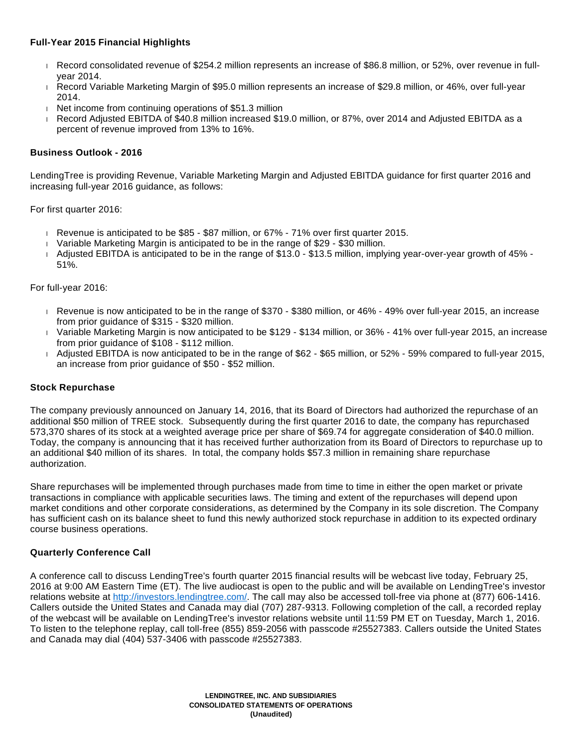# **Full-Year 2015 Financial Highlights**

- Record consolidated revenue of \$254.2 million represents an increase of \$86.8 million, or 52%, over revenue in fullyear 2014.
- Record Variable Marketing Margin of \$95.0 million represents an increase of \$29.8 million, or 46%, over full-year 2014.
- $\parallel$  Net income from continuing operations of \$51.3 million
- Record Adjusted EBITDA of \$40.8 million increased \$19.0 million, or 87%, over 2014 and Adjusted EBITDA as a percent of revenue improved from 13% to 16%.

# **Business Outlook - 2016**

LendingTree is providing Revenue, Variable Marketing Margin and Adjusted EBITDA guidance for first quarter 2016 and increasing full-year 2016 guidance, as follows:

For first quarter 2016:

- Revenue is anticipated to be \$85 \$87 million, or 67% 71% over first quarter 2015.
- Variable Marketing Margin is anticipated to be in the range of \$29 \$30 million.
- Adjusted EBITDA is anticipated to be in the range of \$13.0 \$13.5 million, implying year-over-year growth of 45% 51%.

## For full-year 2016:

- Revenue is now anticipated to be in the range of \$370 \$380 million, or 46% 49% over full-year 2015, an increase from prior guidance of \$315 - \$320 million.
- Variable Marketing Margin is now anticipated to be \$129 \$134 million, or 36% 41% over full-year 2015, an increase from prior guidance of \$108 - \$112 million.
- Adjusted EBITDA is now anticipated to be in the range of \$62 \$65 million, or 52% 59% compared to full-year 2015, an increase from prior guidance of \$50 - \$52 million.

## **Stock Repurchase**

The company previously announced on January 14, 2016, that its Board of Directors had authorized the repurchase of an additional \$50 million of TREE stock. Subsequently during the first quarter 2016 to date, the company has repurchased 573,370 shares of its stock at a weighted average price per share of \$69.74 for aggregate consideration of \$40.0 million. Today, the company is announcing that it has received further authorization from its Board of Directors to repurchase up to an additional \$40 million of its shares. In total, the company holds \$57.3 million in remaining share repurchase authorization.

Share repurchases will be implemented through purchases made from time to time in either the open market or private transactions in compliance with applicable securities laws. The timing and extent of the repurchases will depend upon market conditions and other corporate considerations, as determined by the Company in its sole discretion. The Company has sufficient cash on its balance sheet to fund this newly authorized stock repurchase in addition to its expected ordinary course business operations.

## **Quarterly Conference Call**

A conference call to discuss LendingTree's fourth quarter 2015 financial results will be webcast live today, February 25, 2016 at 9:00 AM Eastern Time (ET). The live audiocast is open to the public and will be available on LendingTree's investor relations website at [http://investors.lendingtree.com/.](http://investors.lendingtree.com/) The call may also be accessed toll-free via phone at (877) 606-1416. Callers outside the United States and Canada may dial (707) 287-9313. Following completion of the call, a recorded replay of the webcast will be available on LendingTree's investor relations website until 11:59 PM ET on Tuesday, March 1, 2016. To listen to the telephone replay, call toll-free (855) 859-2056 with passcode #25527383. Callers outside the United States and Canada may dial (404) 537-3406 with passcode #25527383.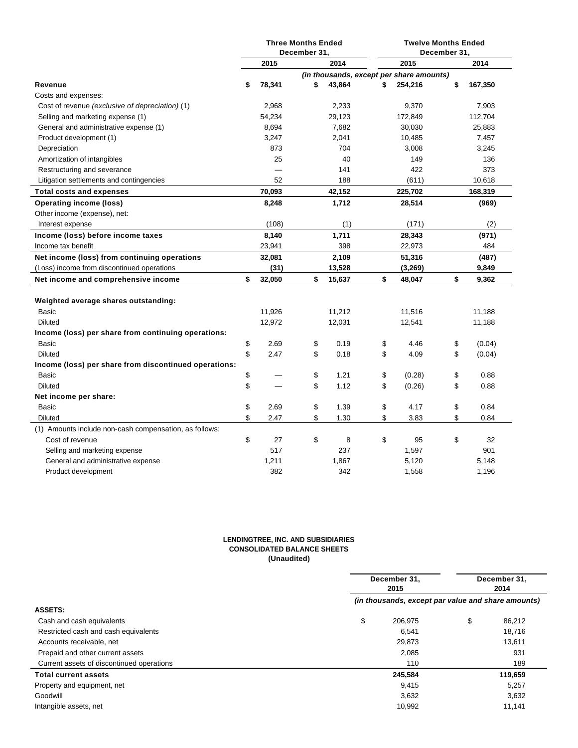|                                                        | <b>Three Months Ended</b><br>December 31, |        |    | <b>Twelve Months Ended</b><br>December 31, |                                          |    |         |
|--------------------------------------------------------|-------------------------------------------|--------|----|--------------------------------------------|------------------------------------------|----|---------|
|                                                        |                                           | 2015   |    | 2014                                       | 2015                                     |    | 2014    |
|                                                        |                                           |        |    |                                            | (in thousands, except per share amounts) |    |         |
| Revenue                                                | \$                                        | 78,341 | \$ | 43,864                                     | \$<br>254,216                            | \$ | 167,350 |
| Costs and expenses:                                    |                                           |        |    |                                            |                                          |    |         |
| Cost of revenue (exclusive of depreciation) (1)        |                                           | 2,968  |    | 2,233                                      | 9,370                                    |    | 7,903   |
| Selling and marketing expense (1)                      |                                           | 54,234 |    | 29,123                                     | 172,849                                  |    | 112,704 |
| General and administrative expense (1)                 |                                           | 8,694  |    | 7,682                                      | 30,030                                   |    | 25,883  |
| Product development (1)                                |                                           | 3,247  |    | 2,041                                      | 10,485                                   |    | 7,457   |
| Depreciation                                           |                                           | 873    |    | 704                                        | 3,008                                    |    | 3,245   |
| Amortization of intangibles                            |                                           | 25     |    | 40                                         | 149                                      |    | 136     |
| Restructuring and severance                            |                                           |        |    | 141                                        | 422                                      |    | 373     |
| Litigation settlements and contingencies               |                                           | 52     |    | 188                                        | (611)                                    |    | 10,618  |
| <b>Total costs and expenses</b>                        |                                           | 70,093 |    | 42,152                                     | 225,702                                  |    | 168,319 |
| <b>Operating income (loss)</b>                         |                                           | 8,248  |    | 1,712                                      | 28,514                                   |    | (969)   |
| Other income (expense), net:                           |                                           |        |    |                                            |                                          |    |         |
| Interest expense                                       |                                           | (108)  |    | (1)                                        | (171)                                    |    | (2)     |
| Income (loss) before income taxes                      |                                           | 8,140  |    | 1,711                                      | 28,343                                   |    | (971)   |
| Income tax benefit                                     |                                           | 23,941 |    | 398                                        | 22,973                                   |    | 484     |
| Net income (loss) from continuing operations           |                                           | 32,081 |    | 2,109                                      | 51,316                                   |    | (487)   |
| (Loss) income from discontinued operations             |                                           | (31)   |    | 13,528                                     | (3,269)                                  |    | 9,849   |
| Net income and comprehensive income                    | \$                                        | 32,050 | \$ | 15,637                                     | \$<br>48,047                             | \$ | 9,362   |
|                                                        |                                           |        |    |                                            |                                          |    |         |
| Weighted average shares outstanding:                   |                                           |        |    |                                            |                                          |    |         |
| Basic                                                  |                                           | 11,926 |    | 11,212                                     | 11,516                                   |    | 11,188  |
| <b>Diluted</b>                                         |                                           | 12,972 |    | 12,031                                     | 12,541                                   |    | 11,188  |
| Income (loss) per share from continuing operations:    |                                           |        |    |                                            |                                          |    |         |
| Basic                                                  | \$                                        | 2.69   | \$ | 0.19                                       | \$<br>4.46                               | \$ | (0.04)  |
| <b>Diluted</b>                                         | \$                                        | 2.47   | \$ | 0.18                                       | \$<br>4.09                               | \$ | (0.04)  |
| Income (loss) per share from discontinued operations:  |                                           |        |    |                                            |                                          |    |         |
| Basic                                                  | \$                                        |        | \$ | 1.21                                       | \$<br>(0.28)                             | \$ | 0.88    |
| <b>Diluted</b>                                         | \$                                        |        | \$ | 1.12                                       | \$<br>(0.26)                             | \$ | 0.88    |
| Net income per share:                                  |                                           |        |    |                                            |                                          |    |         |
| Basic                                                  | \$                                        | 2.69   | \$ | 1.39                                       | \$<br>4.17                               | \$ | 0.84    |
| Diluted                                                | \$                                        | 2.47   | \$ | 1.30                                       | \$<br>3.83                               | \$ | 0.84    |
| (1) Amounts include non-cash compensation, as follows: |                                           |        |    |                                            |                                          |    |         |
| Cost of revenue                                        | \$                                        | 27     | \$ | 8                                          | \$<br>95                                 | \$ | 32      |
| Selling and marketing expense                          |                                           | 517    |    | 237                                        | 1,597                                    |    | 901     |
| General and administrative expense                     |                                           | 1,211  |    | 1,867                                      | 5,120                                    |    | 5,148   |
| Product development                                    |                                           | 382    |    | 342                                        | 1,558                                    |    | 1,196   |

#### **LENDINGTREE, INC. AND SUBSIDIARIES CONSOLIDATED BALANCE SHEETS (Unaudited)**

|                                           | December 31,<br>2015 |                                                    | December 31,<br>2014 |
|-------------------------------------------|----------------------|----------------------------------------------------|----------------------|
|                                           |                      | (in thousands, except par value and share amounts) |                      |
| <b>ASSETS:</b>                            |                      |                                                    |                      |
| Cash and cash equivalents                 | \$                   | 206,975                                            | \$<br>86,212         |
| Restricted cash and cash equivalents      |                      | 6,541                                              | 18,716               |
| Accounts receivable, net                  |                      | 29,873                                             | 13,611               |
| Prepaid and other current assets          |                      | 2,085                                              | 931                  |
| Current assets of discontinued operations |                      | 110                                                | 189                  |
| <b>Total current assets</b>               |                      | 245,584                                            | 119,659              |
| Property and equipment, net               |                      | 9,415                                              | 5,257                |
| Goodwill                                  |                      | 3,632                                              | 3,632                |
| Intangible assets, net                    |                      | 10,992                                             | 11,141               |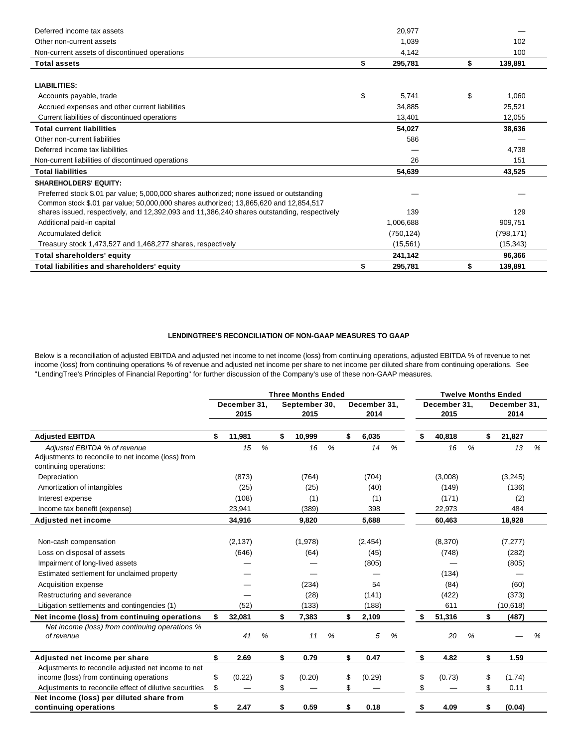| Deferred income tax assets                                                                  | 20,977        |               |
|---------------------------------------------------------------------------------------------|---------------|---------------|
| Other non-current assets                                                                    | 1,039         | 102           |
| Non-current assets of discontinued operations                                               | 4,142         | 100           |
| <b>Total assets</b>                                                                         | \$<br>295,781 | \$<br>139,891 |
|                                                                                             |               |               |
| <b>LIABILITIES:</b>                                                                         |               |               |
| Accounts payable, trade                                                                     | \$<br>5,741   | \$<br>1,060   |
| Accrued expenses and other current liabilities                                              | 34,885        | 25.521        |
| Current liabilities of discontinued operations                                              | 13,401        | 12,055        |
| <b>Total current liabilities</b>                                                            | 54,027        | 38,636        |
| Other non-current liabilities                                                               | 586           |               |
| Deferred income tax liabilities                                                             |               | 4,738         |
| Non-current liabilities of discontinued operations                                          | 26            | 151           |
| <b>Total liabilities</b>                                                                    | 54,639        | 43,525        |
| <b>SHAREHOLDERS' EQUITY:</b>                                                                |               |               |
| Preferred stock \$.01 par value; 5,000,000 shares authorized; none issued or outstanding    |               |               |
| Common stock \$.01 par value; 50,000,000 shares authorized; 13,865,620 and 12,854,517       |               |               |
| shares issued, respectively, and 12,392,093 and 11,386,240 shares outstanding, respectively | 139           | 129           |
| Additional paid-in capital                                                                  | 1,006,688     | 909,751       |
| Accumulated deficit                                                                         | (750, 124)    | (798, 171)    |
| Treasury stock 1,473,527 and 1,468,277 shares, respectively                                 | (15, 561)     | (15, 343)     |
| <b>Total shareholders' equity</b>                                                           | 241,142       | 96,366        |
| Total liabilities and shareholders' equity                                                  | \$<br>295,781 | 139,891       |

### **LENDINGTREE'S RECONCILIATION OF NON-GAAP MEASURES TO GAAP**

Below is a reconciliation of adjusted EBITDA and adjusted net income to net income (loss) from continuing operations, adjusted EBITDA % of revenue to net income (loss) from continuing operations % of revenue and adjusted net income per share to net income per diluted share from continuing operations. See "LendingTree's Principles of Financial Reporting" for further discussion of the Company's use of these non-GAAP measures.

|                                                                                                              |                      |          |                       |    | <b>Three Months Ended</b> |                      |    |          |                      |    |         |                      |    | <b>Twelve Months Ended</b> |   |
|--------------------------------------------------------------------------------------------------------------|----------------------|----------|-----------------------|----|---------------------------|----------------------|----|----------|----------------------|----|---------|----------------------|----|----------------------------|---|
|                                                                                                              | December 31,<br>2015 |          | September 30,<br>2015 |    |                           | December 31.<br>2014 |    |          | December 31,<br>2015 |    |         | December 31,<br>2014 |    |                            |   |
| <b>Adjusted EBITDA</b>                                                                                       | \$                   | 11,981   |                       | \$ | 10,999                    |                      | \$ | 6,035    |                      | \$ | 40,818  |                      | \$ | 21,827                     |   |
| Adjusted EBITDA % of revenue<br>Adjustments to reconcile to net income (loss) from<br>continuing operations: |                      | 15       | %                     |    | 16                        | %                    |    | 14       | %                    |    | 16      | %                    |    | 13                         | % |
| Depreciation                                                                                                 |                      | (873)    |                       |    | (764)                     |                      |    | (704)    |                      |    | (3,008) |                      |    | (3,245)                    |   |
| Amortization of intangibles                                                                                  |                      | (25)     |                       |    | (25)                      |                      |    | (40)     |                      |    | (149)   |                      |    | (136)                      |   |
| Interest expense                                                                                             |                      | (108)    |                       |    | (1)                       |                      |    | (1)      |                      |    | (171)   |                      |    | (2)                        |   |
| Income tax benefit (expense)                                                                                 |                      | 23,941   |                       |    | (389)                     |                      |    | 398      |                      |    | 22,973  |                      |    | 484                        |   |
| <b>Adjusted net income</b>                                                                                   |                      | 34,916   |                       |    | 9,820                     |                      |    | 5,688    |                      |    | 60,463  |                      |    | 18,928                     |   |
|                                                                                                              |                      |          |                       |    |                           |                      |    |          |                      |    |         |                      |    |                            |   |
| Non-cash compensation                                                                                        |                      | (2, 137) |                       |    | (1,978)                   |                      |    | (2, 454) |                      |    | (8,370) |                      |    | (7, 277)                   |   |
| Loss on disposal of assets                                                                                   |                      | (646)    |                       |    | (64)                      |                      |    | (45)     |                      |    | (748)   |                      |    | (282)                      |   |
| Impairment of long-lived assets                                                                              |                      |          |                       |    |                           |                      |    | (805)    |                      |    |         |                      |    | (805)                      |   |
| Estimated settlement for unclaimed property                                                                  |                      |          |                       |    |                           |                      |    |          |                      |    | (134)   |                      |    |                            |   |
| Acquisition expense                                                                                          |                      |          |                       |    | (234)                     |                      |    | 54       |                      |    | (84)    |                      |    | (60)                       |   |
| Restructuring and severance                                                                                  |                      |          |                       |    | (28)                      |                      |    | (141)    |                      |    | (422)   |                      |    | (373)                      |   |
| Litigation settlements and contingencies (1)                                                                 |                      | (52)     |                       |    | (133)                     |                      |    | (188)    |                      |    | 611     |                      |    | (10, 618)                  |   |
| Net income (loss) from continuing operations                                                                 | \$                   | 32,081   |                       | \$ | 7,383                     |                      | \$ | 2,109    |                      | \$ | 51,316  |                      | \$ | (487)                      |   |
| Net income (loss) from continuing operations %<br>of revenue                                                 |                      | 41       | %                     |    | 11                        | %                    |    | 5        | %                    |    | 20      | %                    |    |                            | % |
| Adjusted net income per share                                                                                | \$                   | 2.69     |                       | \$ | 0.79                      |                      | \$ | 0.47     |                      | \$ | 4.82    |                      | \$ | 1.59                       |   |
| Adjustments to reconcile adjusted net income to net                                                          |                      |          |                       |    |                           |                      |    |          |                      |    |         |                      |    |                            |   |
| income (loss) from continuing operations                                                                     | \$                   | (0.22)   |                       | \$ | (0.20)                    |                      | \$ | (0.29)   |                      | \$ | (0.73)  |                      | \$ | (1.74)                     |   |
| Adjustments to reconcile effect of dilutive securities                                                       | \$                   |          |                       | \$ |                           |                      | \$ |          |                      | \$ |         |                      | \$ | 0.11                       |   |
| Net income (loss) per diluted share from                                                                     |                      |          |                       |    |                           |                      |    |          |                      |    |         |                      |    |                            |   |
| continuing operations                                                                                        | \$                   | 2.47     |                       | \$ | 0.59                      |                      | \$ | 0.18     |                      | \$ | 4.09    |                      | \$ | (0.04)                     |   |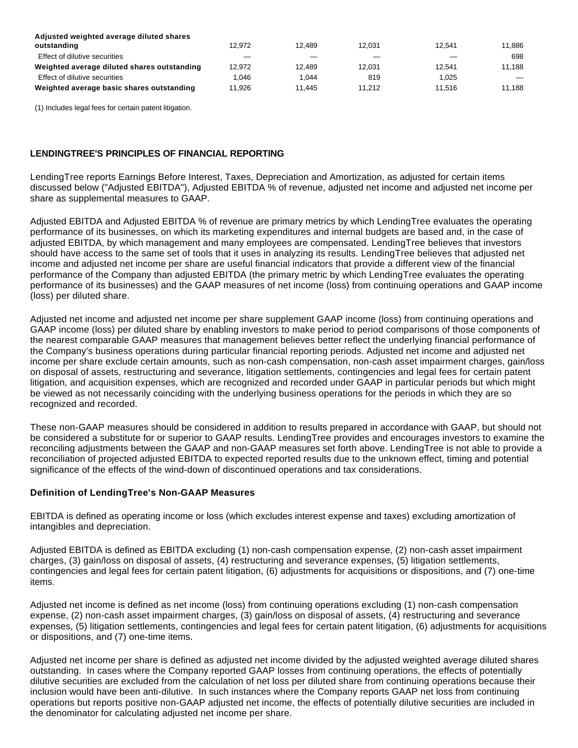| Adjusted weighted average diluted shares    |        |        |        |        |        |
|---------------------------------------------|--------|--------|--------|--------|--------|
| outstanding                                 | 12.972 | 12.489 | 12.031 | 12.541 | 11.886 |
| Effect of dilutive securities               |        |        |        |        | 698    |
| Weighted average diluted shares outstanding | 12.972 | 12.489 | 12.031 | 12.541 | 11.188 |
| Effect of dilutive securities               | .046   | 1.044  | 819    | 1.025  |        |
| Weighted average basic shares outstanding   | 11.926 | 11.445 | 11.212 | 11.516 | 11.188 |

(1) Includes legal fees for certain patent litigation.

# **LENDINGTREE'S PRINCIPLES OF FINANCIAL REPORTING**

LendingTree reports Earnings Before Interest, Taxes, Depreciation and Amortization, as adjusted for certain items discussed below ("Adjusted EBITDA"), Adjusted EBITDA % of revenue, adjusted net income and adjusted net income per share as supplemental measures to GAAP.

Adjusted EBITDA and Adjusted EBITDA % of revenue are primary metrics by which LendingTree evaluates the operating performance of its businesses, on which its marketing expenditures and internal budgets are based and, in the case of adjusted EBITDA, by which management and many employees are compensated. LendingTree believes that investors should have access to the same set of tools that it uses in analyzing its results. LendingTree believes that adjusted net income and adjusted net income per share are useful financial indicators that provide a different view of the financial performance of the Company than adjusted EBITDA (the primary metric by which LendingTree evaluates the operating performance of its businesses) and the GAAP measures of net income (loss) from continuing operations and GAAP income (loss) per diluted share.

Adjusted net income and adjusted net income per share supplement GAAP income (loss) from continuing operations and GAAP income (loss) per diluted share by enabling investors to make period to period comparisons of those components of the nearest comparable GAAP measures that management believes better reflect the underlying financial performance of the Company's business operations during particular financial reporting periods. Adjusted net income and adjusted net income per share exclude certain amounts, such as non-cash compensation, non-cash asset impairment charges, gain/loss on disposal of assets, restructuring and severance, litigation settlements, contingencies and legal fees for certain patent litigation, and acquisition expenses, which are recognized and recorded under GAAP in particular periods but which might be viewed as not necessarily coinciding with the underlying business operations for the periods in which they are so recognized and recorded.

These non-GAAP measures should be considered in addition to results prepared in accordance with GAAP, but should not be considered a substitute for or superior to GAAP results. LendingTree provides and encourages investors to examine the reconciling adjustments between the GAAP and non-GAAP measures set forth above. LendingTree is not able to provide a reconciliation of projected adjusted EBITDA to expected reported results due to the unknown effect, timing and potential significance of the effects of the wind-down of discontinued operations and tax considerations.

# **Definition of LendingTree's Non-GAAP Measures**

EBITDA is defined as operating income or loss (which excludes interest expense and taxes) excluding amortization of intangibles and depreciation.

Adjusted EBITDA is defined as EBITDA excluding (1) non-cash compensation expense, (2) non-cash asset impairment charges, (3) gain/loss on disposal of assets, (4) restructuring and severance expenses, (5) litigation settlements, contingencies and legal fees for certain patent litigation, (6) adjustments for acquisitions or dispositions, and (7) one-time items.

Adjusted net income is defined as net income (loss) from continuing operations excluding (1) non-cash compensation expense, (2) non-cash asset impairment charges, (3) gain/loss on disposal of assets, (4) restructuring and severance expenses, (5) litigation settlements, contingencies and legal fees for certain patent litigation, (6) adjustments for acquisitions or dispositions, and (7) one-time items.

Adjusted net income per share is defined as adjusted net income divided by the adjusted weighted average diluted shares outstanding. In cases where the Company reported GAAP losses from continuing operations, the effects of potentially dilutive securities are excluded from the calculation of net loss per diluted share from continuing operations because their inclusion would have been anti-dilutive. In such instances where the Company reports GAAP net loss from continuing operations but reports positive non-GAAP adjusted net income, the effects of potentially dilutive securities are included in the denominator for calculating adjusted net income per share.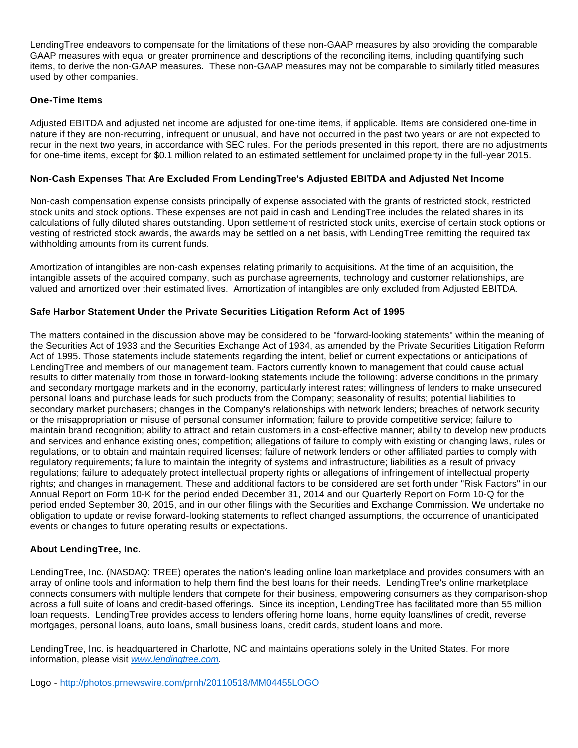LendingTree endeavors to compensate for the limitations of these non-GAAP measures by also providing the comparable GAAP measures with equal or greater prominence and descriptions of the reconciling items, including quantifying such items, to derive the non-GAAP measures. These non-GAAP measures may not be comparable to similarly titled measures used by other companies.

# **One-Time Items**

Adjusted EBITDA and adjusted net income are adjusted for one-time items, if applicable. Items are considered one-time in nature if they are non-recurring, infrequent or unusual, and have not occurred in the past two years or are not expected to recur in the next two years, in accordance with SEC rules. For the periods presented in this report, there are no adjustments for one-time items, except for \$0.1 million related to an estimated settlement for unclaimed property in the full-year 2015.

# **Non-Cash Expenses That Are Excluded From LendingTree's Adjusted EBITDA and Adjusted Net Income**

Non-cash compensation expense consists principally of expense associated with the grants of restricted stock, restricted stock units and stock options. These expenses are not paid in cash and LendingTree includes the related shares in its calculations of fully diluted shares outstanding. Upon settlement of restricted stock units, exercise of certain stock options or vesting of restricted stock awards, the awards may be settled on a net basis, with LendingTree remitting the required tax withholding amounts from its current funds.

Amortization of intangibles are non-cash expenses relating primarily to acquisitions. At the time of an acquisition, the intangible assets of the acquired company, such as purchase agreements, technology and customer relationships, are valued and amortized over their estimated lives. Amortization of intangibles are only excluded from Adjusted EBITDA.

# **Safe Harbor Statement Under the Private Securities Litigation Reform Act of 1995**

The matters contained in the discussion above may be considered to be "forward-looking statements" within the meaning of the Securities Act of 1933 and the Securities Exchange Act of 1934, as amended by the Private Securities Litigation Reform Act of 1995. Those statements include statements regarding the intent, belief or current expectations or anticipations of LendingTree and members of our management team. Factors currently known to management that could cause actual results to differ materially from those in forward-looking statements include the following: adverse conditions in the primary and secondary mortgage markets and in the economy, particularly interest rates; willingness of lenders to make unsecured personal loans and purchase leads for such products from the Company; seasonality of results; potential liabilities to secondary market purchasers; changes in the Company's relationships with network lenders; breaches of network security or the misappropriation or misuse of personal consumer information; failure to provide competitive service; failure to maintain brand recognition; ability to attract and retain customers in a cost-effective manner; ability to develop new products and services and enhance existing ones; competition; allegations of failure to comply with existing or changing laws, rules or regulations, or to obtain and maintain required licenses; failure of network lenders or other affiliated parties to comply with regulatory requirements; failure to maintain the integrity of systems and infrastructure; liabilities as a result of privacy regulations; failure to adequately protect intellectual property rights or allegations of infringement of intellectual property rights; and changes in management. These and additional factors to be considered are set forth under "Risk Factors" in our Annual Report on Form 10-K for the period ended December 31, 2014 and our Quarterly Report on Form 10-Q for the period ended September 30, 2015, and in our other filings with the Securities and Exchange Commission. We undertake no obligation to update or revise forward-looking statements to reflect changed assumptions, the occurrence of unanticipated events or changes to future operating results or expectations.

## **About LendingTree, Inc.**

LendingTree, Inc. (NASDAQ: TREE) operates the nation's leading online loan marketplace and provides consumers with an array of online tools and information to help them find the best loans for their needs. LendingTree's online marketplace connects consumers with multiple lenders that compete for their business, empowering consumers as they comparison-shop across a full suite of loans and credit-based offerings. Since its inception, LendingTree has facilitated more than 55 million loan requests. LendingTree provides access to lenders offering home loans, home equity loans/lines of credit, reverse mortgages, personal loans, auto loans, small business loans, credit cards, student loans and more.

LendingTree, Inc. is headquartered in Charlotte, NC and maintains operations solely in the United States. For more information, please visit [www.lendingtree.com](http://www.lendingtree.com/).

Logo - <http://photos.prnewswire.com/prnh/20110518/MM04455LOGO>